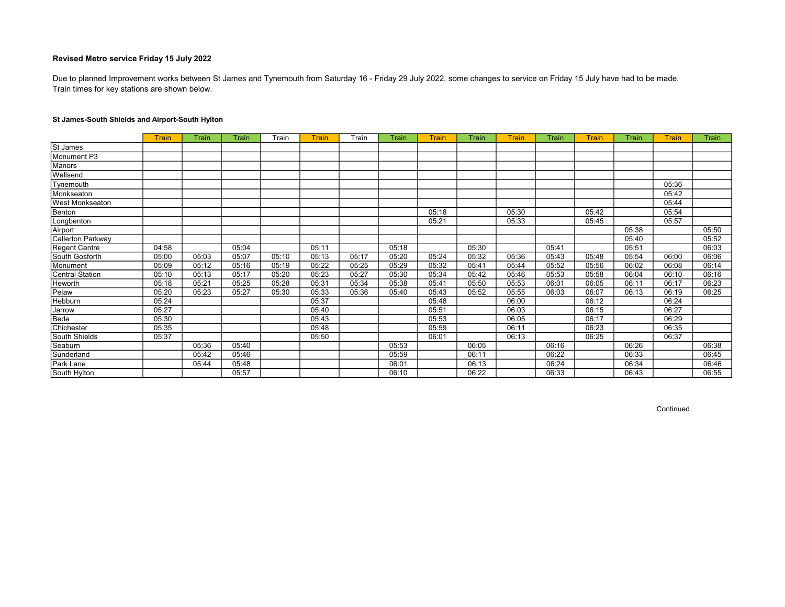Train times for key stations are shown below. Due to planned Improvement works between St James and Tynemouth from Saturday 16 - Friday 29 July 2022, some changes to service on Friday 15 July have had to be made.

# St James-South Shields and Airport-South Hylton

|                        | <b>Train</b> | Train | Train | Train | <b>Train</b> | Train | Train | Train | Train | Train | Train | <b>Train</b> | <b>Train</b> | Train | Train |
|------------------------|--------------|-------|-------|-------|--------------|-------|-------|-------|-------|-------|-------|--------------|--------------|-------|-------|
| St James               |              |       |       |       |              |       |       |       |       |       |       |              |              |       |       |
| Monument P3            |              |       |       |       |              |       |       |       |       |       |       |              |              |       |       |
| Manors                 |              |       |       |       |              |       |       |       |       |       |       |              |              |       |       |
| Wallsend               |              |       |       |       |              |       |       |       |       |       |       |              |              |       |       |
| Tynemouth              |              |       |       |       |              |       |       |       |       |       |       |              |              | 05:36 |       |
| Monkseaton             |              |       |       |       |              |       |       |       |       |       |       |              |              | 05:42 |       |
| <b>West Monkseaton</b> |              |       |       |       |              |       |       |       |       |       |       |              |              | 05:44 |       |
| Benton                 |              |       |       |       |              |       |       | 05:18 |       | 05:30 |       | 05:42        |              | 05:54 |       |
| Longbenton             |              |       |       |       |              |       |       | 05:21 |       | 05:33 |       | 05:45        |              | 05:57 |       |
| Airport                |              |       |       |       |              |       |       |       |       |       |       |              | 05:38        |       | 05:50 |
| Callerton Parkway      |              |       |       |       |              |       |       |       |       |       |       |              | 05:40        |       | 05:52 |
| Regent Centre          | 04:58        |       | 05:04 |       | 05:11        |       | 05:18 |       | 05:30 |       | 05:41 |              | 05:51        |       | 06:03 |
| South Gosforth         | 05:00        | 05:03 | 05:07 | 05:10 | 05:13        | 05:17 | 05:20 | 05:24 | 05:32 | 05:36 | 05:43 | 05:48        | 05:54        | 06:00 | 06:06 |
| Monument               | 05:09        | 05:12 | 05:16 | 05:19 | 05:22        | 05:25 | 05:29 | 05:32 | 05:41 | 05:44 | 05:52 | 05:56        | 06:02        | 06:08 | 06:14 |
| Central Station        | 05:10        | 05:13 | 05:17 | 05:20 | 05:23        | 05:27 | 05:30 | 05:34 | 05:42 | 05:46 | 05:53 | 05:58        | 06:04        | 06:10 | 06:16 |
| Heworth                | 05:18        | 05:21 | 05:25 | 05:28 | 05:31        | 05:34 | 05:38 | 05:41 | 05:50 | 05:53 | 06:01 | 06:05        | 06:11        | 06:17 | 06:23 |
| Pelaw                  | 05:20        | 05:23 | 05:27 | 05:30 | 05:33        | 05:36 | 05:40 | 05:43 | 05:52 | 05:55 | 06:03 | 06:07        | 06:13        | 06:19 | 06:25 |
| Hebburn                | 05:24        |       |       |       | 05:37        |       |       | 05:48 |       | 06:00 |       | 06:12        |              | 06:24 |       |
| Jarrow                 | 05:27        |       |       |       | 05:40        |       |       | 05:51 |       | 06:03 |       | 06:15        |              | 06:27 |       |
| Bede                   | 05:30        |       |       |       | 05:43        |       |       | 05:53 |       | 06:05 |       | 06:17        |              | 06:29 |       |
| Chichester             | 05:35        |       |       |       | 05:48        |       |       | 05:59 |       | 06:11 |       | 06:23        |              | 06:35 |       |
| South Shields          | 05:37        |       |       |       | 05:50        |       |       | 06:01 |       | 06:13 |       | 06:25        |              | 06:37 |       |
| Seaburn                |              | 05:36 | 05:40 |       |              |       | 05:53 |       | 06:05 |       | 06:16 |              | 06:26        |       | 06:38 |
| Sunderland             |              | 05:42 | 05:46 |       |              |       | 05:59 |       | 06:11 |       | 06:22 |              | 06:33        |       | 06:45 |
| Park Lane              |              | 05:44 | 05:48 |       |              |       | 06:01 |       | 06:13 |       | 06:24 |              | 06:34        |       | 06:46 |
| South Hylton           |              |       | 05:57 |       |              |       | 06:10 |       | 06:22 |       | 06:33 |              | 06:43        |       | 06:55 |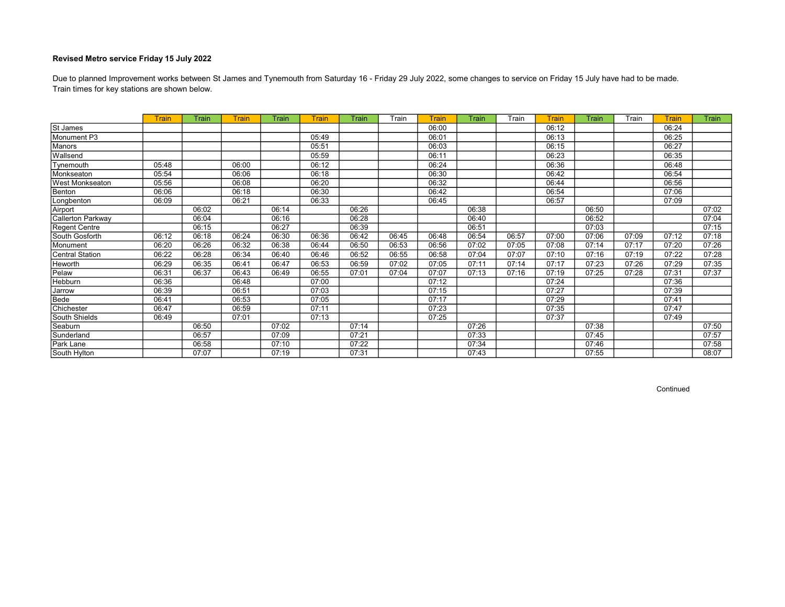Train times for key stations are shown below. Due to planned Improvement works between St James and Tynemouth from Saturday 16 - Friday 29 July 2022, some changes to service on Friday 15 July have had to be made.

|                        | <b>Train</b> | Train | Train | Train | Train | Train | Train | Train | Train | Train | Train | Train | Train | Train | <b>Train</b> |
|------------------------|--------------|-------|-------|-------|-------|-------|-------|-------|-------|-------|-------|-------|-------|-------|--------------|
| St James               |              |       |       |       |       |       |       | 06:00 |       |       | 06:12 |       |       | 06:24 |              |
| Monument P3            |              |       |       |       | 05:49 |       |       | 06:01 |       |       | 06:13 |       |       | 06:25 |              |
| Manors                 |              |       |       |       | 05:51 |       |       | 06:03 |       |       | 06:15 |       |       | 06:27 |              |
| Wallsend               |              |       |       |       | 05:59 |       |       | 06:11 |       |       | 06:23 |       |       | 06:35 |              |
| Tynemouth              | 05:48        |       | 06:00 |       | 06:12 |       |       | 06:24 |       |       | 06:36 |       |       | 06:48 |              |
| Monkseaton             | 05:54        |       | 06:06 |       | 06:18 |       |       | 06:30 |       |       | 06:42 |       |       | 06:54 |              |
| West Monkseaton        | 05:56        |       | 06:08 |       | 06:20 |       |       | 06:32 |       |       | 06:44 |       |       | 06:56 |              |
| Benton                 | 06:06        |       | 06:18 |       | 06:30 |       |       | 06:42 |       |       | 06:54 |       |       | 07:06 |              |
| Longbenton             | 06:09        |       | 06:21 |       | 06:33 |       |       | 06:45 |       |       | 06:57 |       |       | 07:09 |              |
| Airport                |              | 06:02 |       | 06:14 |       | 06:26 |       |       | 06:38 |       |       | 06:50 |       |       | 07:02        |
| Callerton Parkway      |              | 06:04 |       | 06:16 |       | 06:28 |       |       | 06:40 |       |       | 06:52 |       |       | 07:04        |
| Regent Centre          |              | 06:15 |       | 06:27 |       | 06:39 |       |       | 06:51 |       |       | 07:03 |       |       | 07:15        |
| South Gosforth         | 06:12        | 06:18 | 06:24 | 06:30 | 06:36 | 06:42 | 06:45 | 06:48 | 06:54 | 06:57 | 07:00 | 07:06 | 07:09 | 07:12 | 07:18        |
| Monument               | 06:20        | 06:26 | 06:32 | 06:38 | 06:44 | 06:50 | 06:53 | 06:56 | 07:02 | 07:05 | 07:08 | 07:14 | 07:17 | 07:20 | 07:26        |
| <b>Central Station</b> | 06:22        | 06:28 | 06:34 | 06:40 | 06:46 | 06:52 | 06:55 | 06:58 | 07:04 | 07:07 | 07:10 | 07:16 | 07:19 | 07:22 | 07:28        |
| <b>Heworth</b>         | 06:29        | 06:35 | 06:41 | 06:47 | 06:53 | 06:59 | 07:02 | 07:05 | 07:11 | 07:14 | 07:17 | 07:23 | 07:26 | 07:29 | 07:35        |
| Pelaw                  | 06:31        | 06:37 | 06:43 | 06:49 | 06:55 | 07:01 | 07:04 | 07:07 | 07:13 | 07:16 | 07:19 | 07:25 | 07:28 | 07:31 | 07:37        |
| <b>Hebburn</b>         | 06:36        |       | 06:48 |       | 07:00 |       |       | 07:12 |       |       | 07:24 |       |       | 07:36 |              |
| Jarrow                 | 06:39        |       | 06:51 |       | 07:03 |       |       | 07:15 |       |       | 07:27 |       |       | 07:39 |              |
| Bede                   | 06:41        |       | 06:53 |       | 07:05 |       |       | 07:17 |       |       | 07:29 |       |       | 07:41 |              |
| Chichester             | 06:47        |       | 06:59 |       | 07:11 |       |       | 07:23 |       |       | 07:35 |       |       | 07:47 |              |
| South Shields          | 06:49        |       | 07:01 |       | 07:13 |       |       | 07:25 |       |       | 07:37 |       |       | 07:49 |              |
| Seaburn                |              | 06:50 |       | 07:02 |       | 07:14 |       |       | 07:26 |       |       | 07:38 |       |       | 07:50        |
| Sunderland             |              | 06:57 |       | 07:09 |       | 07:21 |       |       | 07:33 |       |       | 07:45 |       |       | 07:57        |
| Park Lane              |              | 06:58 |       | 07:10 |       | 07:22 |       |       | 07:34 |       |       | 07:46 |       |       | 07:58        |
| South Hylton           |              | 07:07 |       | 07:19 |       | 07:31 |       |       | 07:43 |       |       | 07:55 |       |       | 08:07        |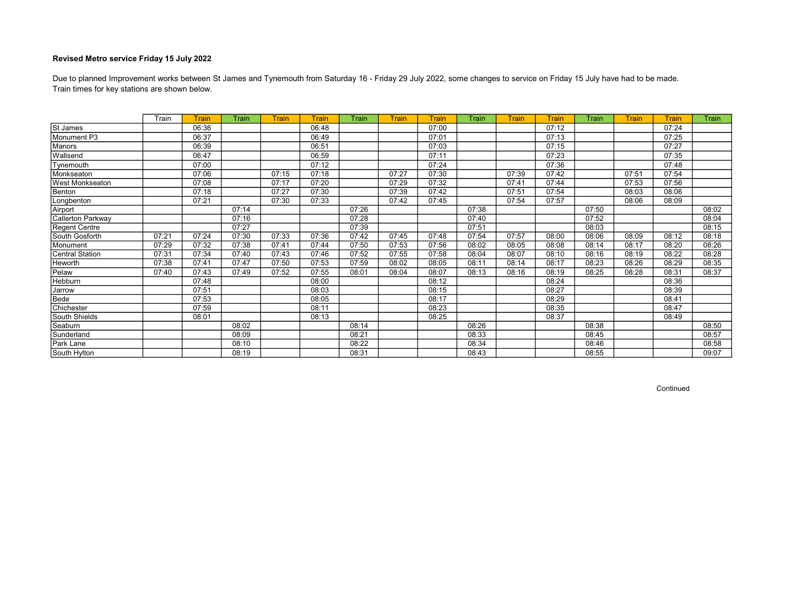Train times for key stations are shown below. Due to planned Improvement works between St James and Tynemouth from Saturday 16 - Friday 29 July 2022, some changes to service on Friday 15 July have had to be made.

|                   | Train | <b>Train</b> | Train | Train | <b>Train</b> | Train | <b>Train</b> | Train | Train | <b>Train</b> | Train | Train | Train | <b>Train</b> | Train |
|-------------------|-------|--------------|-------|-------|--------------|-------|--------------|-------|-------|--------------|-------|-------|-------|--------------|-------|
| St James          |       | 06:36        |       |       | 06:48        |       |              | 07:00 |       |              | 07:12 |       |       | 07:24        |       |
| Monument P3       |       | 06:37        |       |       | 06:49        |       |              | 07:01 |       |              | 07:13 |       |       | 07:25        |       |
| Manors            |       | 06:39        |       |       | 06:51        |       |              | 07:03 |       |              | 07:15 |       |       | 07:27        |       |
| Wallsend          |       | 06:47        |       |       | 06:59        |       |              | 07:11 |       |              | 07:23 |       |       | 07:35        |       |
| Tynemouth         |       | 07:00        |       |       | 07:12        |       |              | 07:24 |       |              | 07:36 |       |       | 07:48        |       |
| Monkseaton        |       | 07:06        |       | 07:15 | 07:18        |       | 07:27        | 07:30 |       | 07:39        | 07:42 |       | 07:51 | 07:54        |       |
| West Monkseaton   |       | 07:08        |       | 07:17 | 07:20        |       | 07:29        | 07:32 |       | 07:41        | 07:44 |       | 07:53 | 07:56        |       |
| Benton            |       | 07:18        |       | 07:27 | 07:30        |       | 07:39        | 07:42 |       | 07:51        | 07:54 |       | 08:03 | 08:06        |       |
| Longbenton        |       | 07:21        |       | 07:30 | 07:33        |       | 07:42        | 07:45 |       | 07:54        | 07:57 |       | 08:06 | 08:09        |       |
| Airport           |       |              | 07:14 |       |              | 07:26 |              |       | 07:38 |              |       | 07:50 |       |              | 08:02 |
| Callerton Parkway |       |              | 07:16 |       |              | 07:28 |              |       | 07:40 |              |       | 07:52 |       |              | 08:04 |
| Regent Centre     |       |              | 07:27 |       |              | 07:39 |              |       | 07:51 |              |       | 08:03 |       |              | 08:15 |
| South Gosforth    | 07:21 | 07:24        | 07:30 | 07:33 | 07:36        | 07:42 | 07:45        | 07:48 | 07:54 | 07:57        | 08:00 | 08:06 | 08:09 | 08:12        | 08:18 |
| Monument          | 07:29 | 07:32        | 07:38 | 07:41 | 07:44        | 07:50 | 07:53        | 07:56 | 08:02 | 08:05        | 08:08 | 08:14 | 08:17 | 08:20        | 08:26 |
| Central Station   | 07:31 | 07:34        | 07:40 | 07:43 | 07:46        | 07:52 | 07:55        | 07:58 | 08:04 | 08:07        | 08:10 | 08:16 | 08:19 | 08:22        | 08:28 |
| <b>Heworth</b>    | 07:38 | 07:41        | 07:47 | 07:50 | 07:53        | 07:59 | 08:02        | 08:05 | 08:11 | 08:14        | 08:17 | 08:23 | 08:26 | 08:29        | 08:35 |
| Pelaw             | 07:40 | 07:43        | 07:49 | 07:52 | 07:55        | 08:01 | 08:04        | 08:07 | 08:13 | 08:16        | 08:19 | 08:25 | 08:28 | 08:31        | 08:37 |
| Hebburn           |       | 07:48        |       |       | 08:00        |       |              | 08:12 |       |              | 08:24 |       |       | 08:36        |       |
| Jarrow            |       | 07:51        |       |       | 08:03        |       |              | 08:15 |       |              | 08:27 |       |       | 08:39        |       |
| Bede              |       | 07:53        |       |       | 08:05        |       |              | 08:17 |       |              | 08:29 |       |       | 08:41        |       |
| Chichester        |       | 07:59        |       |       | 08:11        |       |              | 08:23 |       |              | 08:35 |       |       | 08:47        |       |
| South Shields     |       | 08:01        |       |       | 08:13        |       |              | 08:25 |       |              | 08:37 |       |       | 08:49        |       |
| Seaburn           |       |              | 08:02 |       |              | 08:14 |              |       | 08:26 |              |       | 08:38 |       |              | 08:50 |
| Sunderland        |       |              | 08:09 |       |              | 08:21 |              |       | 08:33 |              |       | 08:45 |       |              | 08:57 |
| Park Lane         |       |              | 08:10 |       |              | 08:22 |              |       | 08:34 |              |       | 08:46 |       |              | 08:58 |
| South Hylton      |       |              | 08:19 |       |              | 08:31 |              |       | 08:43 |              |       | 08:55 |       |              | 09:07 |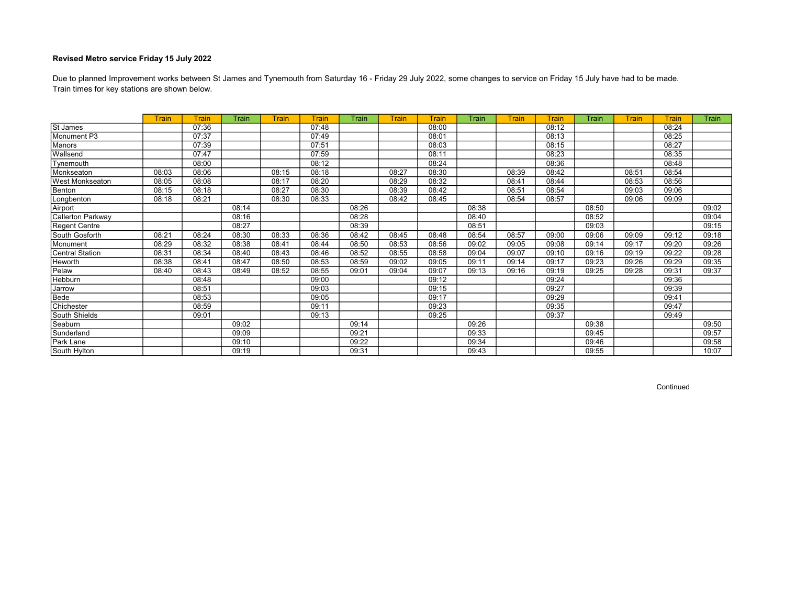Train times for key stations are shown below. Due to planned Improvement works between St James and Tynemouth from Saturday 16 - Friday 29 July 2022, some changes to service on Friday 15 July have had to be made.

|                        | <b>Train</b> | <b>Train</b> | Train | <b>Train</b> | <b>Train</b> | Train | <b>Train</b> | Train | Train | Train | Train | Train | <b>Train</b> | <b>Train</b> | Train |
|------------------------|--------------|--------------|-------|--------------|--------------|-------|--------------|-------|-------|-------|-------|-------|--------------|--------------|-------|
| St James               |              | 07:36        |       |              | 07:48        |       |              | 08:00 |       |       | 08:12 |       |              | 08:24        |       |
| Monument P3            |              | 07:37        |       |              | 07:49        |       |              | 08:01 |       |       | 08:13 |       |              | 08:25        |       |
| <b>Manors</b>          |              | 07:39        |       |              | 07:51        |       |              | 08:03 |       |       | 08:15 |       |              | 08:27        |       |
| Wallsend               |              | 07:47        |       |              | 07:59        |       |              | 08:11 |       |       | 08:23 |       |              | 08:35        |       |
| Tynemouth              |              | 08:00        |       |              | 08:12        |       |              | 08:24 |       |       | 08:36 |       |              | 08:48        |       |
| Monkseaton             | 08:03        | 08:06        |       | 08:15        | 08:18        |       | 08:27        | 08:30 |       | 08:39 | 08:42 |       | 08:51        | 08:54        |       |
| <b>West Monkseaton</b> | 08:05        | 08:08        |       | 08:17        | 08:20        |       | 08:29        | 08:32 |       | 08:41 | 08:44 |       | 08:53        | 08:56        |       |
| Benton                 | 08:15        | 08:18        |       | 08:27        | 08:30        |       | 08:39        | 08:42 |       | 08:51 | 08:54 |       | 09:03        | 09:06        |       |
| Longbenton             | 08:18        | 08:21        |       | 08:30        | 08:33        |       | 08:42        | 08:45 |       | 08:54 | 08:57 |       | 09:06        | 09:09        |       |
| Airport                |              |              | 08:14 |              |              | 08:26 |              |       | 08:38 |       |       | 08:50 |              |              | 09:02 |
| Callerton Parkway      |              |              | 08:16 |              |              | 08:28 |              |       | 08:40 |       |       | 08:52 |              |              | 09:04 |
| Regent Centre          |              |              | 08:27 |              |              | 08:39 |              |       | 08:51 |       |       | 09:03 |              |              | 09:15 |
| South Gosforth         | 08:21        | 08:24        | 08:30 | 08:33        | 08:36        | 08:42 | 08:45        | 08:48 | 08:54 | 08:57 | 09:00 | 09:06 | 09:09        | 09:12        | 09:18 |
| Monument               | 08:29        | 08:32        | 08:38 | 08:41        | 08:44        | 08:50 | 08:53        | 08:56 | 09:02 | 09:05 | 09:08 | 09:14 | 09:17        | 09:20        | 09:26 |
| <b>Central Station</b> | 08:31        | 08:34        | 08:40 | 08:43        | 08:46        | 08:52 | 08:55        | 08:58 | 09:04 | 09:07 | 09:10 | 09:16 | 09:19        | 09:22        | 09:28 |
| <b>Heworth</b>         | 08:38        | 08:41        | 08:47 | 08:50        | 08:53        | 08:59 | 09:02        | 09:05 | 09:11 | 09:14 | 09:17 | 09:23 | 09:26        | 09:29        | 09:35 |
| Pelaw                  | 08:40        | 08:43        | 08:49 | 08:52        | 08:55        | 09:01 | 09:04        | 09:07 | 09:13 | 09:16 | 09:19 | 09:25 | 09:28        | 09:31        | 09:37 |
| <b>Hebburn</b>         |              | 08:48        |       |              | 09:00        |       |              | 09:12 |       |       | 09:24 |       |              | 09:36        |       |
| Jarrow                 |              | 08:51        |       |              | 09:03        |       |              | 09:15 |       |       | 09:27 |       |              | 09:39        |       |
| Bede                   |              | 08:53        |       |              | 09:05        |       |              | 09:17 |       |       | 09:29 |       |              | 09:41        |       |
| Chichester             |              | 08:59        |       |              | 09:11        |       |              | 09:23 |       |       | 09:35 |       |              | 09:47        |       |
| South Shields          |              | 09:01        |       |              | 09:13        |       |              | 09:25 |       |       | 09:37 |       |              | 09:49        |       |
| Seaburn                |              |              | 09:02 |              |              | 09:14 |              |       | 09:26 |       |       | 09:38 |              |              | 09:50 |
| Sunderland             |              |              | 09:09 |              |              | 09:21 |              |       | 09:33 |       |       | 09:45 |              |              | 09:57 |
| Park Lane              |              |              | 09:10 |              |              | 09:22 |              |       | 09:34 |       |       | 09:46 |              |              | 09:58 |
| South Hylton           |              |              | 09:19 |              |              | 09:31 |              |       | 09:43 |       |       | 09:55 |              |              | 10:07 |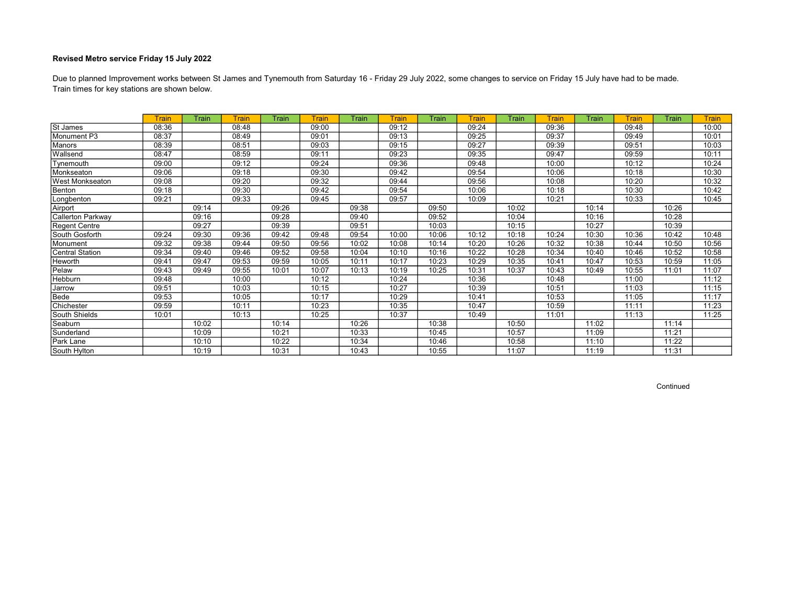Train times for key stations are shown below. Due to planned Improvement works between St James and Tynemouth from Saturday 16 - Friday 29 July 2022, some changes to service on Friday 15 July have had to be made.

|                          | <b>Train</b> | Train | <b>Train</b> | Train | Train | Train | <b>Train</b> | Train | <b>Train</b> | Train | <b>Train</b> | Train | Train | <b>Train</b> | <b>Train</b> |
|--------------------------|--------------|-------|--------------|-------|-------|-------|--------------|-------|--------------|-------|--------------|-------|-------|--------------|--------------|
| St James                 | 08:36        |       | 08:48        |       | 09:00 |       | 09:12        |       | 09:24        |       | 09:36        |       | 09:48 |              | 10:00        |
| Monument P3              | 08:37        |       | 08:49        |       | 09:01 |       | 09:13        |       | 09:25        |       | 09:37        |       | 09:49 |              | 10:01        |
| Manors                   | 08:39        |       | 08:51        |       | 09:03 |       | 09:15        |       | 09:27        |       | 09:39        |       | 09:51 |              | 10:03        |
| Wallsend                 | 08:47        |       | 08:59        |       | 09:11 |       | 09:23        |       | 09:35        |       | 09:47        |       | 09:59 |              | 10:11        |
| Tynemouth                | 09:00        |       | 09:12        |       | 09:24 |       | 09:36        |       | 09:48        |       | 10:00        |       | 10:12 |              | 10:24        |
| Monkseaton               | 09:06        |       | 09:18        |       | 09:30 |       | 09:42        |       | 09:54        |       | 10:06        |       | 10:18 |              | 10:30        |
| West Monkseaton          | 09:08        |       | 09:20        |       | 09:32 |       | 09:44        |       | 09:56        |       | 10:08        |       | 10:20 |              | 10:32        |
| Benton                   | 09:18        |       | 09:30        |       | 09:42 |       | 09:54        |       | 10:06        |       | 10:18        |       | 10:30 |              | 10:42        |
| Longbenton               | 09:21        |       | 09:33        |       | 09:45 |       | 09:57        |       | 10:09        |       | 10:21        |       | 10:33 |              | 10:45        |
| Airport                  |              | 09:14 |              | 09:26 |       | 09:38 |              | 09:50 |              | 10:02 |              | 10:14 |       | 10:26        |              |
| <b>Callerton Parkway</b> |              | 09:16 |              | 09:28 |       | 09:40 |              | 09:52 |              | 10:04 |              | 10:16 |       | 10:28        |              |
| <b>Regent Centre</b>     |              | 09:27 |              | 09:39 |       | 09:51 |              | 10:03 |              | 10:15 |              | 10:27 |       | 10:39        |              |
| South Gosforth           | 09:24        | 09:30 | 09:36        | 09:42 | 09:48 | 09:54 | 10:00        | 10:06 | 10:12        | 10:18 | 10:24        | 10:30 | 10:36 | 10:42        | 10:48        |
| Monument                 | 09:32        | 09:38 | 09:44        | 09:50 | 09:56 | 10:02 | 10:08        | 10:14 | 10:20        | 10:26 | 10:32        | 10:38 | 10:44 | 10:50        | 10:56        |
| <b>Central Station</b>   | 09:34        | 09:40 | 09:46        | 09:52 | 09:58 | 10:04 | 10:10        | 10:16 | 10:22        | 10:28 | 10:34        | 10:40 | 10:46 | 10:52        | 10:58        |
| Heworth                  | 09:41        | 09:47 | 09:53        | 09:59 | 10:05 | 10:11 | 10:17        | 10:23 | 10:29        | 10:35 | 10:41        | 10:47 | 10:53 | 10:59        | 11:05        |
| Pelaw                    | 09:43        | 09:49 | 09:55        | 10:01 | 10:07 | 10:13 | 10:19        | 10:25 | 10:31        | 10:37 | 10:43        | 10:49 | 10:55 | 11:01        | 11:07        |
| Hebburn                  | 09:48        |       | 10:00        |       | 10:12 |       | 10:24        |       | 10:36        |       | 10:48        |       | 11:00 |              | 11:12        |
| Jarrow                   | 09:51        |       | 10:03        |       | 10:15 |       | 10:27        |       | 10:39        |       | 10:51        |       | 11:03 |              | 11:15        |
| Bede                     | 09:53        |       | 10:05        |       | 10:17 |       | 10:29        |       | 10:41        |       | 10:53        |       | 11:05 |              | 11:17        |
| Chichester               | 09:59        |       | 10:11        |       | 10:23 |       | 10:35        |       | 10:47        |       | 10:59        |       | 11:11 |              | 11:23        |
| South Shields            | 10:01        |       | 10:13        |       | 10:25 |       | 10:37        |       | 10:49        |       | 11:01        |       | 11:13 |              | 11:25        |
| Seaburn                  |              | 10:02 |              | 10:14 |       | 10:26 |              | 10:38 |              | 10:50 |              | 11:02 |       | 11:14        |              |
| Sunderland               |              | 10:09 |              | 10:21 |       | 10:33 |              | 10:45 |              | 10:57 |              | 11:09 |       | 11:21        |              |
| Park Lane                |              | 10:10 |              | 10:22 |       | 10:34 |              | 10:46 |              | 10:58 |              | 11:10 |       | 11:22        |              |
| South Hylton             |              | 10:19 |              | 10:31 |       | 10:43 |              | 10:55 |              | 11:07 |              | 11:19 |       | 11:31        |              |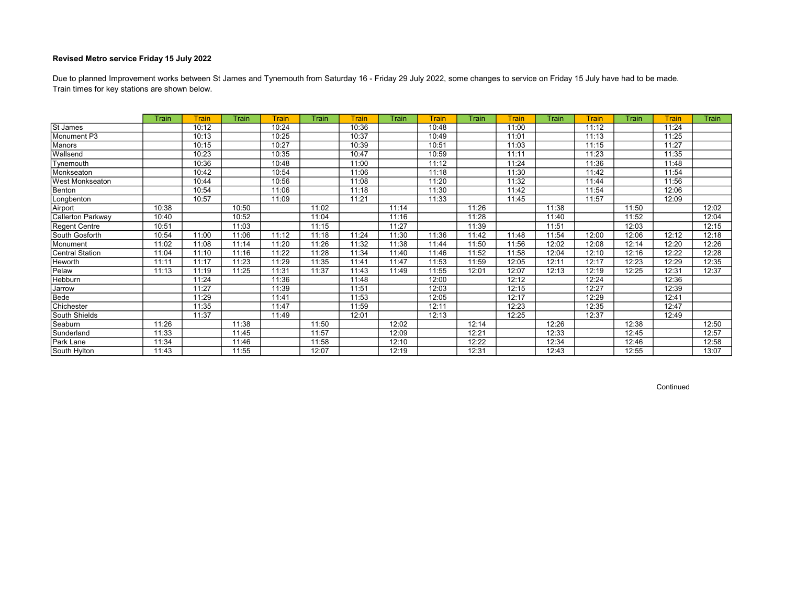Train times for key stations are shown below. Due to planned Improvement works between St James and Tynemouth from Saturday 16 - Friday 29 July 2022, some changes to service on Friday 15 July have had to be made.

|                   | Train | Train | Train | <b>Train</b> | Train | Train | Train | Train | Train | Train | Train | Train | Train | Train | Train |
|-------------------|-------|-------|-------|--------------|-------|-------|-------|-------|-------|-------|-------|-------|-------|-------|-------|
| St James          |       | 10:12 |       | 10:24        |       | 10:36 |       | 10:48 |       | 11:00 |       | 11:12 |       | 11:24 |       |
| Monument P3       |       | 10:13 |       | 10:25        |       | 10:37 |       | 10:49 |       | 11:01 |       | 11:13 |       | 11:25 |       |
| <b>Manors</b>     |       | 10:15 |       | 10:27        |       | 10:39 |       | 10:51 |       | 11:03 |       | 11:15 |       | 11:27 |       |
| Wallsend          |       | 10:23 |       | 10:35        |       | 10:47 |       | 10:59 |       | 11:11 |       | 11:23 |       | 11:35 |       |
| Tynemouth         |       | 10:36 |       | 10:48        |       | 11:00 |       | 11:12 |       | 11:24 |       | 11:36 |       | 11:48 |       |
| Monkseaton        |       | 10:42 |       | 10:54        |       | 11:06 |       | 11:18 |       | 11:30 |       | 11:42 |       | 11:54 |       |
| West Monkseaton   |       | 10:44 |       | 10:56        |       | 11:08 |       | 11:20 |       | 11:32 |       | 11:44 |       | 11:56 |       |
| Benton            |       | 10:54 |       | 11:06        |       | 11:18 |       | 11:30 |       | 11:42 |       | 11:54 |       | 12:06 |       |
| Longbenton        |       | 10:57 |       | 11:09        |       | 11:21 |       | 11:33 |       | 11:45 |       | 11:57 |       | 12:09 |       |
| Airport           | 10:38 |       | 10:50 |              | 11:02 |       | 11:14 |       | 11:26 |       | 11:38 |       | 11:50 |       | 12:02 |
| Callerton Parkway | 10:40 |       | 10:52 |              | 11:04 |       | 11:16 |       | 11:28 |       | 11:40 |       | 11:52 |       | 12:04 |
| Regent Centre     | 10:51 |       | 11:03 |              | 11:15 |       | 11:27 |       | 11:39 |       | 11:51 |       | 12:03 |       | 12:15 |
| South Gosforth    | 10:54 | 11:00 | 11:06 | 11:12        | 11:18 | 11:24 | 11:30 | 11:36 | 11:42 | 11:48 | 11:54 | 12:00 | 12:06 | 12:12 | 12:18 |
| Monument          | 11:02 | 11:08 | 11:14 | 11:20        | 11:26 | 11:32 | 11:38 | 11:44 | 11:50 | 11:56 | 12:02 | 12:08 | 12:14 | 12:20 | 12:26 |
| Central Station   | 11:04 | 11:10 | 11:16 | 11:22        | 11:28 | 11:34 | 11:40 | 11:46 | 11:52 | 11:58 | 12:04 | 12:10 | 12:16 | 12:22 | 12:28 |
| <b>Heworth</b>    | 11:11 | 11:17 | 11:23 | 11:29        | 11:35 | 11:41 | 11:47 | 11:53 | 11:59 | 12:05 | 12:11 | 12:17 | 12:23 | 12:29 | 12:35 |
| Pelaw             | 11:13 | 11:19 | 11:25 | 11:31        | 11:37 | 11:43 | 11:49 | 11:55 | 12:01 | 12:07 | 12:13 | 12:19 | 12:25 | 12:31 | 12:37 |
| <b>Hebburn</b>    |       | 11:24 |       | 11:36        |       | 11:48 |       | 12:00 |       | 12:12 |       | 12:24 |       | 12:36 |       |
| Jarrow            |       | 11:27 |       | 11:39        |       | 11:51 |       | 12:03 |       | 12:15 |       | 12:27 |       | 12:39 |       |
| Bede              |       | 11:29 |       | 11:41        |       | 11:53 |       | 12:05 |       | 12:17 |       | 12:29 |       | 12:41 |       |
| Chichester        |       | 11:35 |       | 11:47        |       | 11:59 |       | 12:11 |       | 12:23 |       | 12:35 |       | 12:47 |       |
| South Shields     |       | 11:37 |       | 11:49        |       | 12:01 |       | 12:13 |       | 12:25 |       | 12:37 |       | 12:49 |       |
| Seaburn           | 11:26 |       | 11:38 |              | 11:50 |       | 12:02 |       | 12:14 |       | 12:26 |       | 12:38 |       | 12:50 |
| Sunderland        | 11:33 |       | 11:45 |              | 11:57 |       | 12:09 |       | 12:21 |       | 12:33 |       | 12:45 |       | 12:57 |
| Park Lane         | 11:34 |       | 11:46 |              | 11:58 |       | 12:10 |       | 12:22 |       | 12:34 |       | 12:46 |       | 12:58 |
| South Hylton      | 11:43 |       | 11:55 |              | 12:07 |       | 12:19 |       | 12:31 |       | 12:43 |       | 12:55 |       | 13:07 |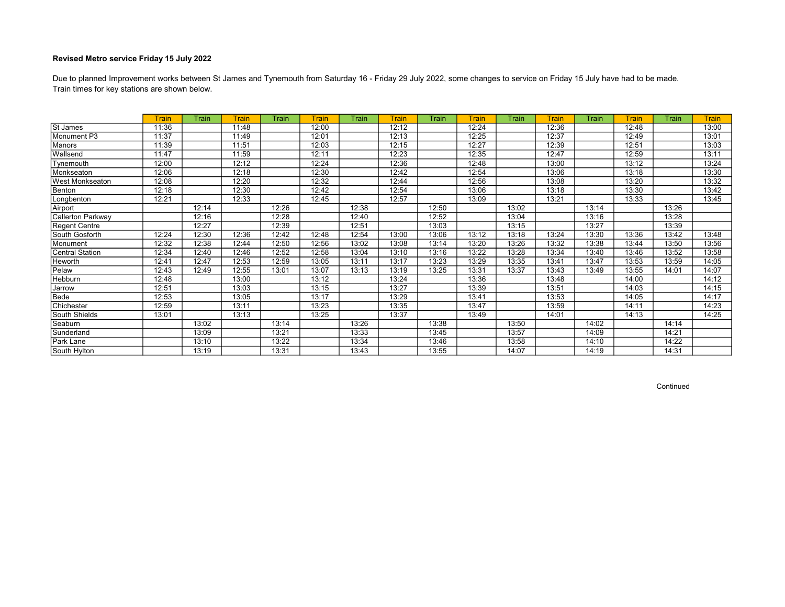Train times for key stations are shown below. Due to planned Improvement works between St James and Tynemouth from Saturday 16 - Friday 29 July 2022, some changes to service on Friday 15 July have had to be made.

|                          | <b>Train</b> | Train | <b>Train</b> | Train | Train | Train | <b>Train</b> | Train | <b>Train</b> | Train | <b>Train</b> | Train | Train | Train | <b>Train</b> |
|--------------------------|--------------|-------|--------------|-------|-------|-------|--------------|-------|--------------|-------|--------------|-------|-------|-------|--------------|
| St James                 | 11:36        |       | 11:48        |       | 12:00 |       | 12:12        |       | 12:24        |       | 12:36        |       | 12:48 |       | 13:00        |
| Monument P3              | 11:37        |       | 11:49        |       | 12:01 |       | 12:13        |       | 12:25        |       | 12:37        |       | 12:49 |       | 13:01        |
| <b>Manors</b>            | 11:39        |       | 11:51        |       | 12:03 |       | 12:15        |       | 12:27        |       | 12:39        |       | 12:51 |       | 13:03        |
| Wallsend                 | 11:47        |       | 11:59        |       | 12:11 |       | 12:23        |       | 12:35        |       | 12:47        |       | 12:59 |       | 13:11        |
| Tynemouth                | 12:00        |       | 12:12        |       | 12:24 |       | 12:36        |       | 12:48        |       | 13:00        |       | 13:12 |       | 13:24        |
| Monkseaton               | 12:06        |       | 12:18        |       | 12:30 |       | 12:42        |       | 12:54        |       | 13:06        |       | 13:18 |       | 13:30        |
| West Monkseaton          | 12:08        |       | 12:20        |       | 12:32 |       | 12:44        |       | 12:56        |       | 13:08        |       | 13:20 |       | 13:32        |
| Benton                   | 12:18        |       | 12:30        |       | 12:42 |       | 12:54        |       | 13:06        |       | 13:18        |       | 13:30 |       | 13:42        |
| Longbenton               | 12:21        |       | 12:33        |       | 12:45 |       | 12:57        |       | 13:09        |       | 13:21        |       | 13:33 |       | 13:45        |
| Airport                  |              | 12:14 |              | 12:26 |       | 12:38 |              | 12:50 |              | 13:02 |              | 13:14 |       | 13:26 |              |
| <b>Callerton Parkway</b> |              | 12:16 |              | 12:28 |       | 12:40 |              | 12:52 |              | 13:04 |              | 13:16 |       | 13:28 |              |
| <b>Regent Centre</b>     |              | 12:27 |              | 12:39 |       | 12:51 |              | 13:03 |              | 13:15 |              | 13:27 |       | 13:39 |              |
| South Gosforth           | 12:24        | 12:30 | 12:36        | 12:42 | 12:48 | 12:54 | 13:00        | 13:06 | 13:12        | 13:18 | 13:24        | 13:30 | 13:36 | 13:42 | 13:48        |
| Monument                 | 12:32        | 12:38 | 12:44        | 12:50 | 12:56 | 13:02 | 13:08        | 13:14 | 13:20        | 13:26 | 13:32        | 13:38 | 13:44 | 13:50 | 13:56        |
| <b>Central Station</b>   | 12:34        | 12:40 | 12:46        | 12:52 | 12:58 | 13:04 | 13:10        | 13:16 | 13:22        | 13:28 | 13:34        | 13:40 | 13:46 | 13:52 | 13:58        |
| Heworth                  | 12:41        | 12:47 | 12:53        | 12:59 | 13:05 | 13:11 | 13:17        | 13:23 | 13:29        | 13:35 | 13:41        | 13:47 | 13:53 | 13:59 | 14:05        |
| Pelaw                    | 12:43        | 12:49 | 12:55        | 13:01 | 13:07 | 13:13 | 13:19        | 13:25 | 13:31        | 13:37 | 13:43        | 13:49 | 13:55 | 14:01 | 14:07        |
| Hebburn                  | 12:48        |       | 13:00        |       | 13:12 |       | 13:24        |       | 13:36        |       | 13:48        |       | 14:00 |       | 14:12        |
| Jarrow                   | 12:51        |       | 13:03        |       | 13:15 |       | 13:27        |       | 13:39        |       | 13:51        |       | 14:03 |       | 14:15        |
| Bede                     | 12:53        |       | 13:05        |       | 13:17 |       | 13:29        |       | 13:41        |       | 13:53        |       | 14:05 |       | 14:17        |
| Chichester               | 12:59        |       | 13:11        |       | 13:23 |       | 13:35        |       | 13:47        |       | 13:59        |       | 14:11 |       | 14:23        |
| South Shields            | 13:01        |       | 13:13        |       | 13:25 |       | 13:37        |       | 13:49        |       | 14:01        |       | 14:13 |       | 14:25        |
| Seaburn                  |              | 13:02 |              | 13:14 |       | 13:26 |              | 13:38 |              | 13:50 |              | 14:02 |       | 14:14 |              |
| Sunderland               |              | 13:09 |              | 13:21 |       | 13:33 |              | 13:45 |              | 13:57 |              | 14:09 |       | 14:21 |              |
| Park Lane                |              | 13:10 |              | 13:22 |       | 13:34 |              | 13:46 |              | 13:58 |              | 14:10 |       | 14:22 |              |
| South Hylton             |              | 13:19 |              | 13:31 |       | 13:43 |              | 13:55 |              | 14:07 |              | 14:19 |       | 14:31 |              |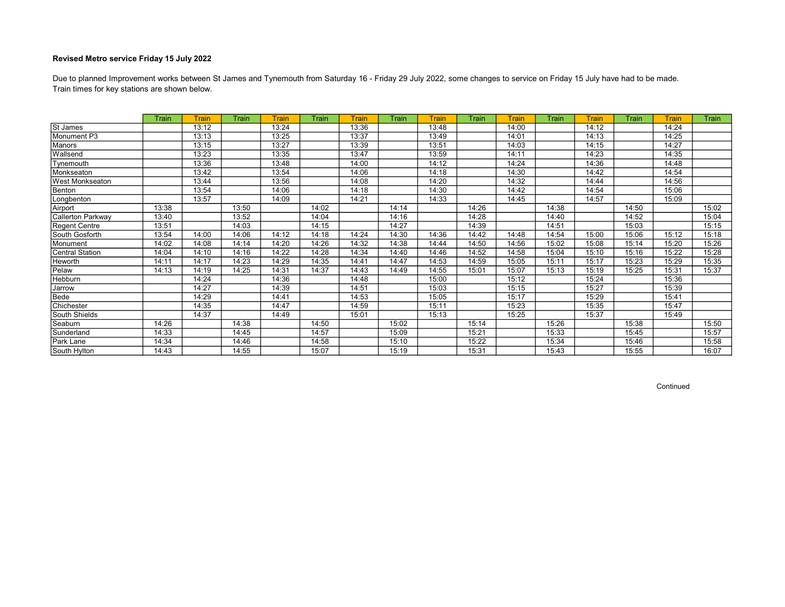Train times for key stations are shown below. Due to planned Improvement works between St James and Tynemouth from Saturday 16 - Friday 29 July 2022, some changes to service on Friday 15 July have had to be made.

|                        | Train | Train | Train | <b>Train</b> | Train | <b>Train</b> | Train | Train | Train | Train | Train | Train | Train | Train | Train |
|------------------------|-------|-------|-------|--------------|-------|--------------|-------|-------|-------|-------|-------|-------|-------|-------|-------|
| St James               |       | 13:12 |       | 13:24        |       | 13:36        |       | 13:48 |       | 14:00 |       | 14:12 |       | 14:24 |       |
| Monument P3            |       | 13:13 |       | 13:25        |       | 13:37        |       | 13:49 |       | 14:01 |       | 14:13 |       | 14:25 |       |
| Manors                 |       | 13:15 |       | 13:27        |       | 13:39        |       | 13:51 |       | 14:03 |       | 14:15 |       | 14:27 |       |
| Wallsend               |       | 13:23 |       | 13:35        |       | 13:47        |       | 13:59 |       | 14:11 |       | 14:23 |       | 14:35 |       |
| Tynemouth              |       | 13:36 |       | 13:48        |       | 14:00        |       | 14:12 |       | 14:24 |       | 14:36 |       | 14:48 |       |
| Monkseaton             |       | 13:42 |       | 13:54        |       | 14:06        |       | 14:18 |       | 14:30 |       | 14:42 |       | 14:54 |       |
| <b>West Monkseaton</b> |       | 13:44 |       | 13:56        |       | 14:08        |       | 14:20 |       | 14:32 |       | 14:44 |       | 14:56 |       |
| Benton                 |       | 13:54 |       | 14:06        |       | 14:18        |       | 14:30 |       | 14:42 |       | 14:54 |       | 15:06 |       |
| Longbenton             |       | 13:57 |       | 14:09        |       | 14:21        |       | 14:33 |       | 14:45 |       | 14:57 |       | 15:09 |       |
| Airport                | 13:38 |       | 13:50 |              | 14:02 |              | 14:14 |       | 14:26 |       | 14:38 |       | 14:50 |       | 15:02 |
| Callerton Parkway      | 13:40 |       | 13:52 |              | 14:04 |              | 14:16 |       | 14:28 |       | 14:40 |       | 14:52 |       | 15:04 |
| Regent Centre          | 13:51 |       | 14:03 |              | 14:15 |              | 14:27 |       | 14:39 |       | 14:51 |       | 15:03 |       | 15:15 |
| South Gosforth         | 13:54 | 14:00 | 14:06 | 14:12        | 14:18 | 14:24        | 14:30 | 14:36 | 14:42 | 14:48 | 14:54 | 15:00 | 15:06 | 15:12 | 15:18 |
| Monument               | 14:02 | 14:08 | 14:14 | 14:20        | 14:26 | 14:32        | 14:38 | 14:44 | 14:50 | 14:56 | 15:02 | 15:08 | 15:14 | 15:20 | 15:26 |
| Central Station        | 14:04 | 14:10 | 14:16 | 14:22        | 14:28 | 14:34        | 14:40 | 14:46 | 14:52 | 14:58 | 15:04 | 15:10 | 15:16 | 15:22 | 15:28 |
| Heworth                | 14:11 | 14:17 | 14:23 | 14:29        | 14:35 | 14:41        | 14:47 | 14:53 | 14:59 | 15:05 | 15:11 | 15:17 | 15:23 | 15:29 | 15:35 |
| Pelaw                  | 14:13 | 14:19 | 14:25 | 14:31        | 14:37 | 14:43        | 14:49 | 14:55 | 15:01 | 15:07 | 15:13 | 15:19 | 15:25 | 15:31 | 15:37 |
| <b>Hebburn</b>         |       | 14:24 |       | 14:36        |       | 14:48        |       | 15:00 |       | 15:12 |       | 15:24 |       | 15:36 |       |
| Jarrow                 |       | 14:27 |       | 14:39        |       | 14:51        |       | 15:03 |       | 15:15 |       | 15:27 |       | 15:39 |       |
| Bede                   |       | 14:29 |       | 14:41        |       | 14:53        |       | 15:05 |       | 15:17 |       | 15:29 |       | 15:41 |       |
| Chichester             |       | 14:35 |       | 14:47        |       | 14:59        |       | 15:11 |       | 15:23 |       | 15:35 |       | 15:47 |       |
| South Shields          |       | 14:37 |       | 14:49        |       | 15:01        |       | 15:13 |       | 15:25 |       | 15:37 |       | 15:49 |       |
| Seaburn                | 14:26 |       | 14:38 |              | 14:50 |              | 15:02 |       | 15:14 |       | 15:26 |       | 15:38 |       | 15:50 |
| Sunderland             | 14:33 |       | 14:45 |              | 14:57 |              | 15:09 |       | 15:21 |       | 15:33 |       | 15:45 |       | 15:57 |
| Park Lane              | 14:34 |       | 14:46 |              | 14:58 |              | 15:10 |       | 15:22 |       | 15:34 |       | 15:46 |       | 15:58 |
| South Hylton           | 14:43 |       | 14:55 |              | 15:07 |              | 15:19 |       | 15:31 |       | 15:43 |       | 15:55 |       | 16:07 |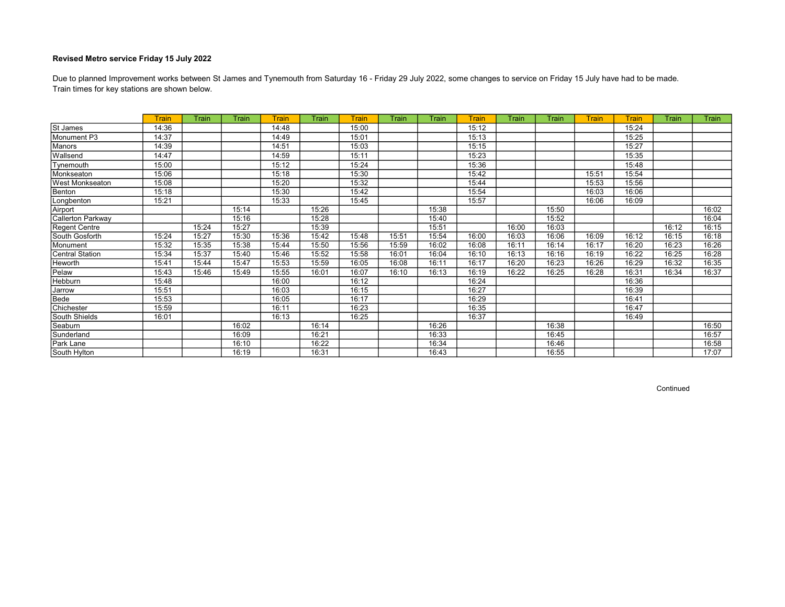Train times for key stations are shown below. Due to planned Improvement works between St James and Tynemouth from Saturday 16 - Friday 29 July 2022, some changes to service on Friday 15 July have had to be made.

|                   | <b>Train</b> | Train | Train | <b>Train</b> | Train | <b>Train</b> | Train | Train | <b>Train</b> | Train | Train | <b>Train</b> | <b>Train</b> | Train | Train |
|-------------------|--------------|-------|-------|--------------|-------|--------------|-------|-------|--------------|-------|-------|--------------|--------------|-------|-------|
| St James          | 14:36        |       |       | 14:48        |       | 15:00        |       |       | 15:12        |       |       |              | 15:24        |       |       |
| Monument P3       | 14:37        |       |       | 14:49        |       | 15:01        |       |       | 15:13        |       |       |              | 15:25        |       |       |
| Manors            | 14:39        |       |       | 14:51        |       | 15:03        |       |       | 15:15        |       |       |              | 15:27        |       |       |
| Wallsend          | 14:47        |       |       | 14:59        |       | 15:11        |       |       | 15:23        |       |       |              | 15:35        |       |       |
| Tynemouth         | 15:00        |       |       | 15:12        |       | 15:24        |       |       | 15:36        |       |       |              | 15:48        |       |       |
| Monkseaton        | 15:06        |       |       | 15:18        |       | 15:30        |       |       | 15:42        |       |       | 15:51        | 15:54        |       |       |
| West Monkseaton   | 15:08        |       |       | 15:20        |       | 15:32        |       |       | 15:44        |       |       | 15:53        | 15:56        |       |       |
| Benton            | 15:18        |       |       | 15:30        |       | 15:42        |       |       | 15:54        |       |       | 16:03        | 16:06        |       |       |
| Longbenton        | 15:21        |       |       | 15:33        |       | 15:45        |       |       | 15:57        |       |       | 16:06        | 16:09        |       |       |
| Airport           |              |       | 15:14 |              | 15:26 |              |       | 15:38 |              |       | 15:50 |              |              |       | 16:02 |
| Callerton Parkway |              |       | 15:16 |              | 15:28 |              |       | 15:40 |              |       | 15:52 |              |              |       | 16:04 |
| Regent Centre     |              | 15:24 | 15:27 |              | 15:39 |              |       | 15:51 |              | 16:00 | 16:03 |              |              | 16:12 | 16:15 |
| South Gosforth    | 15:24        | 15:27 | 15:30 | 15:36        | 15:42 | 15:48        | 15:51 | 15:54 | 16:00        | 16:03 | 16:06 | 16:09        | 16:12        | 16:15 | 16:18 |
| Monument          | 15:32        | 15:35 | 15:38 | 15:44        | 15:50 | 15:56        | 15:59 | 16:02 | 16:08        | 16:11 | 16:14 | 16:17        | 16:20        | 16:23 | 16:26 |
| Central Station   | 15:34        | 15:37 | 15:40 | 15:46        | 15:52 | 15:58        | 16:01 | 16:04 | 16:10        | 16:13 | 16:16 | 16:19        | 16:22        | 16:25 | 16:28 |
| Heworth           | 15:41        | 15:44 | 15:47 | 15:53        | 15:59 | 16:05        | 16:08 | 16:11 | 16:17        | 16:20 | 16:23 | 16:26        | 16:29        | 16:32 | 16:35 |
| Pelaw             | 15:43        | 15:46 | 15:49 | 15:55        | 16:01 | 16:07        | 16:10 | 16:13 | 16:19        | 16:22 | 16:25 | 16:28        | 16:31        | 16:34 | 16:37 |
| <b>Hebburn</b>    | 15:48        |       |       | 16:00        |       | 16:12        |       |       | 16:24        |       |       |              | 16:36        |       |       |
| Jarrow            | 15:51        |       |       | 16:03        |       | 16:15        |       |       | 16:27        |       |       |              | 16:39        |       |       |
| Bede              | 15:53        |       |       | 16:05        |       | 16:17        |       |       | 16:29        |       |       |              | 16:41        |       |       |
| Chichester        | 15:59        |       |       | 16:11        |       | 16:23        |       |       | 16:35        |       |       |              | 16:47        |       |       |
| South Shields     | 16:01        |       |       | 16:13        |       | 16:25        |       |       | 16:37        |       |       |              | 16:49        |       |       |
| Seaburn           |              |       | 16:02 |              | 16:14 |              |       | 16:26 |              |       | 16:38 |              |              |       | 16:50 |
| Sunderland        |              |       | 16:09 |              | 16:21 |              |       | 16:33 |              |       | 16:45 |              |              |       | 16:57 |
| Park Lane         |              |       | 16:10 |              | 16:22 |              |       | 16:34 |              |       | 16:46 |              |              |       | 16:58 |
| South Hylton      |              |       | 16:19 |              | 16:31 |              |       | 16:43 |              |       | 16:55 |              |              |       | 17:07 |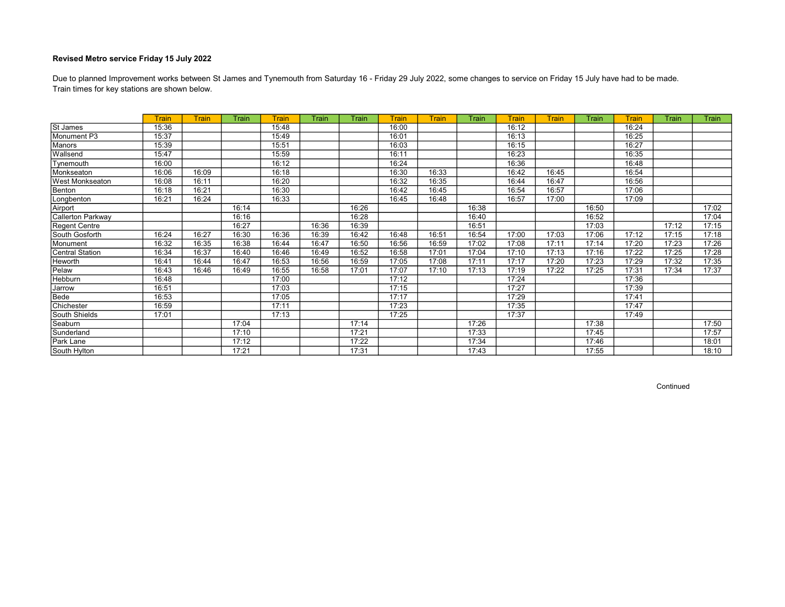Train times for key stations are shown below. Due to planned Improvement works between St James and Tynemouth from Saturday 16 - Friday 29 July 2022, some changes to service on Friday 15 July have had to be made.

|                        | Train | Train | Train | Train | Train | Train | Train | Train | Train | Train | Train | Train | Train | Train | Train |
|------------------------|-------|-------|-------|-------|-------|-------|-------|-------|-------|-------|-------|-------|-------|-------|-------|
| St James               | 15:36 |       |       | 15:48 |       |       | 16:00 |       |       | 16:12 |       |       | 16:24 |       |       |
| Monument P3            | 15:37 |       |       | 15:49 |       |       | 16:01 |       |       | 16:13 |       |       | 16:25 |       |       |
| <b>Manors</b>          | 15:39 |       |       | 15:51 |       |       | 16:03 |       |       | 16:15 |       |       | 16:27 |       |       |
| Wallsend               | 15:47 |       |       | 15:59 |       |       | 16:11 |       |       | 16:23 |       |       | 16:35 |       |       |
| Tynemouth              | 16:00 |       |       | 16:12 |       |       | 16:24 |       |       | 16:36 |       |       | 16:48 |       |       |
| Monkseaton             | 16:06 | 16:09 |       | 16:18 |       |       | 16:30 | 16:33 |       | 16:42 | 16:45 |       | 16:54 |       |       |
| <b>West Monkseaton</b> | 16:08 | 16:11 |       | 16:20 |       |       | 16:32 | 16:35 |       | 16:44 | 16:47 |       | 16:56 |       |       |
| Benton                 | 16:18 | 16:21 |       | 16:30 |       |       | 16:42 | 16:45 |       | 16:54 | 16:57 |       | 17:06 |       |       |
| Longbenton             | 16:21 | 16:24 |       | 16:33 |       |       | 16:45 | 16:48 |       | 16:57 | 17:00 |       | 17:09 |       |       |
| Airport                |       |       | 16:14 |       |       | 16:26 |       |       | 16:38 |       |       | 16:50 |       |       | 17:02 |
| Callerton Parkway      |       |       | 16:16 |       |       | 16:28 |       |       | 16:40 |       |       | 16:52 |       |       | 17:04 |
| Regent Centre          |       |       | 16:27 |       | 16:36 | 16:39 |       |       | 16:51 |       |       | 17:03 |       | 17:12 | 17:15 |
| South Gosforth         | 16:24 | 16:27 | 16:30 | 16:36 | 16:39 | 16:42 | 16:48 | 16:51 | 16:54 | 17:00 | 17:03 | 17:06 | 17:12 | 17:15 | 17:18 |
| Monument               | 16:32 | 16:35 | 16:38 | 16:44 | 16:47 | 16:50 | 16:56 | 16:59 | 17:02 | 17:08 | 17:11 | 17:14 | 17:20 | 17:23 | 17:26 |
| <b>Central Station</b> | 16:34 | 16:37 | 16:40 | 16:46 | 16:49 | 16:52 | 16:58 | 17:01 | 17:04 | 17:10 | 17:13 | 17:16 | 17:22 | 17:25 | 17:28 |
| <b>Heworth</b>         | 16:41 | 16:44 | 16:47 | 16:53 | 16:56 | 16:59 | 17:05 | 17:08 | 17:11 | 17:17 | 17:20 | 17:23 | 17:29 | 17:32 | 17:35 |
| Pelaw                  | 16:43 | 16:46 | 16:49 | 16:55 | 16:58 | 17:01 | 17:07 | 17:10 | 17:13 | 17:19 | 17:22 | 17:25 | 17:31 | 17:34 | 17:37 |
| Hebburn                | 16:48 |       |       | 17:00 |       |       | 17:12 |       |       | 17:24 |       |       | 17:36 |       |       |
| Jarrow                 | 16:51 |       |       | 17:03 |       |       | 17:15 |       |       | 17:27 |       |       | 17:39 |       |       |
| Bede                   | 16:53 |       |       | 17:05 |       |       | 17:17 |       |       | 17:29 |       |       | 17:41 |       |       |
| Chichester             | 16:59 |       |       | 17:11 |       |       | 17:23 |       |       | 17:35 |       |       | 17:47 |       |       |
| South Shields          | 17:01 |       |       | 17:13 |       |       | 17:25 |       |       | 17:37 |       |       | 17:49 |       |       |
| Seaburn                |       |       | 17:04 |       |       | 17:14 |       |       | 17:26 |       |       | 17:38 |       |       | 17:50 |
| Sunderland             |       |       | 17:10 |       |       | 17:21 |       |       | 17:33 |       |       | 17:45 |       |       | 17:57 |
| Park Lane              |       |       | 17:12 |       |       | 17:22 |       |       | 17:34 |       |       | 17:46 |       |       | 18:01 |
| South Hylton           |       |       | 17:21 |       |       | 17:31 |       |       | 17:43 |       |       | 17:55 |       |       | 18:10 |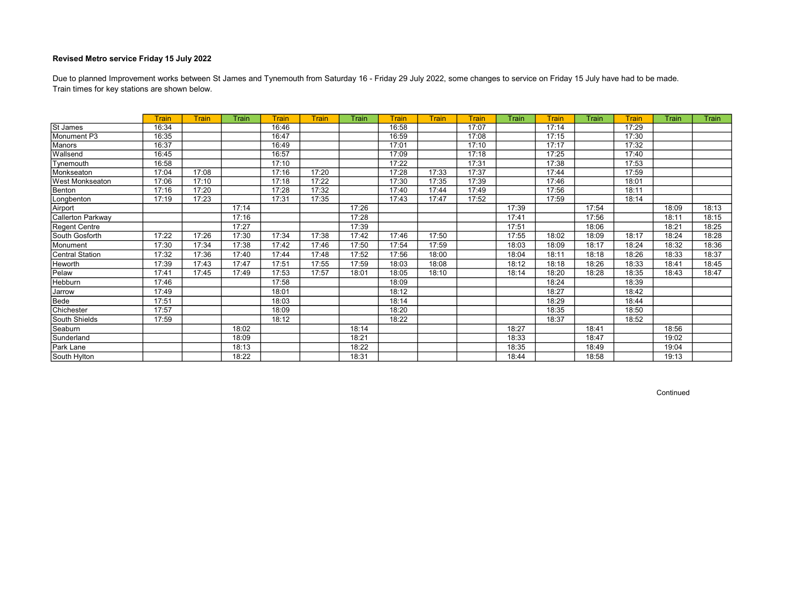Train times for key stations are shown below. Due to planned Improvement works between St James and Tynemouth from Saturday 16 - Friday 29 July 2022, some changes to service on Friday 15 July have had to be made.

|                        | <b>Train</b> | Train | Train | Train | Train | Train | <b>Train</b> | Train | Train | Train | Train | Train | Train | Train | Train |
|------------------------|--------------|-------|-------|-------|-------|-------|--------------|-------|-------|-------|-------|-------|-------|-------|-------|
| St James               | 16:34        |       |       | 16:46 |       |       | 16:58        |       | 17:07 |       | 17:14 |       | 17:29 |       |       |
| Monument P3            | 16:35        |       |       | 16:47 |       |       | 16:59        |       | 17:08 |       | 17:15 |       | 17:30 |       |       |
| <b>Manors</b>          | 16:37        |       |       | 16:49 |       |       | 17:01        |       | 17:10 |       | 17:17 |       | 17:32 |       |       |
| Wallsend               | 16:45        |       |       | 16:57 |       |       | 17:09        |       | 17:18 |       | 17:25 |       | 17:40 |       |       |
| Tynemouth              | 16:58        |       |       | 17:10 |       |       | 17:22        |       | 17:31 |       | 17:38 |       | 17:53 |       |       |
| Monkseaton             | 17:04        | 17:08 |       | 17:16 | 17:20 |       | 17:28        | 17:33 | 17:37 |       | 17:44 |       | 17:59 |       |       |
| <b>West Monkseaton</b> | 17:06        | 17:10 |       | 17:18 | 17:22 |       | 17:30        | 17:35 | 17:39 |       | 17:46 |       | 18:01 |       |       |
| Benton                 | 17:16        | 17:20 |       | 17:28 | 17:32 |       | 17:40        | 17:44 | 17:49 |       | 17:56 |       | 18:11 |       |       |
| Longbenton             | 17:19        | 17:23 |       | 17:31 | 17:35 |       | 17:43        | 17:47 | 17:52 |       | 17:59 |       | 18:14 |       |       |
| Airport                |              |       | 17:14 |       |       | 17:26 |              |       |       | 17:39 |       | 17:54 |       | 18:09 | 18:13 |
| Callerton Parkway      |              |       | 17:16 |       |       | 17:28 |              |       |       | 17:41 |       | 17:56 |       | 18:11 | 18:15 |
| Regent Centre          |              |       | 17:27 |       |       | 17:39 |              |       |       | 17:51 |       | 18:06 |       | 18:21 | 18:25 |
| South Gosforth         | 17:22        | 17:26 | 17:30 | 17:34 | 17:38 | 17:42 | 17:46        | 17:50 |       | 17:55 | 18:02 | 18:09 | 18:17 | 18:24 | 18:28 |
| Monument               | 17:30        | 17:34 | 17:38 | 17:42 | 17:46 | 17:50 | 17:54        | 17:59 |       | 18:03 | 18:09 | 18:17 | 18:24 | 18:32 | 18:36 |
| Central Station        | 17:32        | 17:36 | 17:40 | 17:44 | 17:48 | 17:52 | 17:56        | 18:00 |       | 18:04 | 18:11 | 18:18 | 18:26 | 18:33 | 18:37 |
| <b>Heworth</b>         | 17:39        | 17:43 | 17:47 | 17:51 | 17:55 | 17:59 | 18:03        | 18:08 |       | 18:12 | 18:18 | 18:26 | 18:33 | 18:41 | 18:45 |
| Pelaw                  | 17:41        | 17:45 | 17:49 | 17:53 | 17:57 | 18:01 | 18:05        | 18:10 |       | 18:14 | 18:20 | 18:28 | 18:35 | 18:43 | 18:47 |
| Hebburn                | 17:46        |       |       | 17:58 |       |       | 18:09        |       |       |       | 18:24 |       | 18:39 |       |       |
| Jarrow                 | 17:49        |       |       | 18:01 |       |       | 18:12        |       |       |       | 18:27 |       | 18:42 |       |       |
| Bede                   | 17:51        |       |       | 18:03 |       |       | 18:14        |       |       |       | 18:29 |       | 18:44 |       |       |
| Chichester             | 17:57        |       |       | 18:09 |       |       | 18:20        |       |       |       | 18:35 |       | 18:50 |       |       |
| South Shields          | 17:59        |       |       | 18:12 |       |       | 18:22        |       |       |       | 18:37 |       | 18:52 |       |       |
| Seaburn                |              |       | 18:02 |       |       | 18:14 |              |       |       | 18:27 |       | 18:41 |       | 18:56 |       |
| Sunderland             |              |       | 18:09 |       |       | 18:21 |              |       |       | 18:33 |       | 18:47 |       | 19:02 |       |
| Park Lane              |              |       | 18:13 |       |       | 18:22 |              |       |       | 18:35 |       | 18:49 |       | 19:04 |       |
| South Hylton           |              |       | 18:22 |       |       | 18:31 |              |       |       | 18:44 |       | 18:58 |       | 19:13 |       |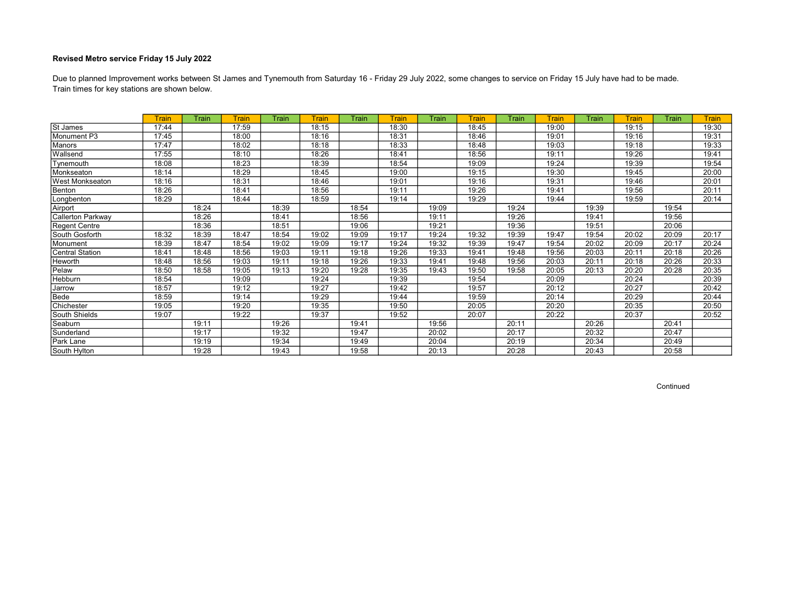Train times for key stations are shown below. Due to planned Improvement works between St James and Tynemouth from Saturday 16 - Friday 29 July 2022, some changes to service on Friday 15 July have had to be made.

|                          | <b>Train</b> | Train | <b>Train</b> | Train | Train | Train | Train | Train | Train | Train | Train | Train | Train | Train | <b>Train</b> |
|--------------------------|--------------|-------|--------------|-------|-------|-------|-------|-------|-------|-------|-------|-------|-------|-------|--------------|
| St James                 | 17:44        |       | 17:59        |       | 18:15 |       | 18:30 |       | 18:45 |       | 19:00 |       | 19:15 |       | 19:30        |
| Monument P3              | 17:45        |       | 18:00        |       | 18:16 |       | 18:31 |       | 18:46 |       | 19:01 |       | 19:16 |       | 19:31        |
| Manors                   | 17:47        |       | 18:02        |       | 18:18 |       | 18:33 |       | 18:48 |       | 19:03 |       | 19:18 |       | 19:33        |
| Wallsend                 | 17:55        |       | 18:10        |       | 18:26 |       | 18:41 |       | 18:56 |       | 19:11 |       | 19:26 |       | 19:41        |
| Tynemouth                | 18:08        |       | 18:23        |       | 18:39 |       | 18:54 |       | 19:09 |       | 19:24 |       | 19:39 |       | 19:54        |
| Monkseaton               | 18:14        |       | 18:29        |       | 18:45 |       | 19:00 |       | 19:15 |       | 19:30 |       | 19:45 |       | 20:00        |
| <b>West Monkseaton</b>   | 18:16        |       | 18:31        |       | 18:46 |       | 19:01 |       | 19:16 |       | 19:31 |       | 19:46 |       | 20:01        |
| Benton                   | 18:26        |       | 18:41        |       | 18:56 |       | 19:11 |       | 19:26 |       | 19:41 |       | 19:56 |       | 20:11        |
| Longbenton               | 18:29        |       | 18:44        |       | 18:59 |       | 19:14 |       | 19:29 |       | 19:44 |       | 19:59 |       | 20:14        |
| Airport                  |              | 18:24 |              | 18:39 |       | 18:54 |       | 19:09 |       | 19:24 |       | 19:39 |       | 19:54 |              |
| <b>Callerton Parkway</b> |              | 18:26 |              | 18:41 |       | 18:56 |       | 19:11 |       | 19:26 |       | 19:41 |       | 19:56 |              |
| Regent Centre            |              | 18:36 |              | 18:51 |       | 19:06 |       | 19:21 |       | 19:36 |       | 19:51 |       | 20:06 |              |
| South Gosforth           | 18:32        | 18:39 | 18:47        | 18:54 | 19:02 | 19:09 | 19:17 | 19:24 | 19:32 | 19:39 | 19:47 | 19:54 | 20:02 | 20:09 | 20:17        |
| Monument                 | 18:39        | 18:47 | 18:54        | 19:02 | 19:09 | 19:17 | 19:24 | 19:32 | 19:39 | 19:47 | 19:54 | 20:02 | 20:09 | 20:17 | 20:24        |
| Central Station          | 18:41        | 18:48 | 18:56        | 19:03 | 19:11 | 19:18 | 19:26 | 19:33 | 19:41 | 19:48 | 19:56 | 20:03 | 20:11 | 20:18 | 20:26        |
| Heworth                  | 18:48        | 18:56 | 19:03        | 19:11 | 19:18 | 19:26 | 19:33 | 19:41 | 19:48 | 19:56 | 20:03 | 20:11 | 20:18 | 20:26 | 20:33        |
| Pelaw                    | 18:50        | 18:58 | 19:05        | 19:13 | 19:20 | 19:28 | 19:35 | 19:43 | 19:50 | 19:58 | 20:05 | 20:13 | 20:20 | 20:28 | 20:35        |
| Hebburn                  | 18:54        |       | 19:09        |       | 19:24 |       | 19:39 |       | 19:54 |       | 20:09 |       | 20:24 |       | 20:39        |
| Jarrow                   | 18:57        |       | 19:12        |       | 19:27 |       | 19:42 |       | 19:57 |       | 20:12 |       | 20:27 |       | 20:42        |
| Bede                     | 18:59        |       | 19:14        |       | 19:29 |       | 19:44 |       | 19:59 |       | 20:14 |       | 20:29 |       | 20:44        |
| Chichester               | 19:05        |       | 19:20        |       | 19:35 |       | 19:50 |       | 20:05 |       | 20:20 |       | 20:35 |       | 20:50        |
| South Shields            | 19:07        |       | 19:22        |       | 19:37 |       | 19:52 |       | 20:07 |       | 20:22 |       | 20:37 |       | 20:52        |
| Seaburn                  |              | 19:11 |              | 19:26 |       | 19:41 |       | 19:56 |       | 20:11 |       | 20:26 |       | 20:41 |              |
| Sunderland               |              | 19:17 |              | 19:32 |       | 19:47 |       | 20:02 |       | 20:17 |       | 20:32 |       | 20:47 |              |
| Park Lane                |              | 19:19 |              | 19:34 |       | 19:49 |       | 20:04 |       | 20:19 |       | 20:34 |       | 20:49 |              |
| South Hylton             |              | 19:28 |              | 19:43 |       | 19:58 |       | 20:13 |       | 20:28 |       | 20:43 |       | 20:58 |              |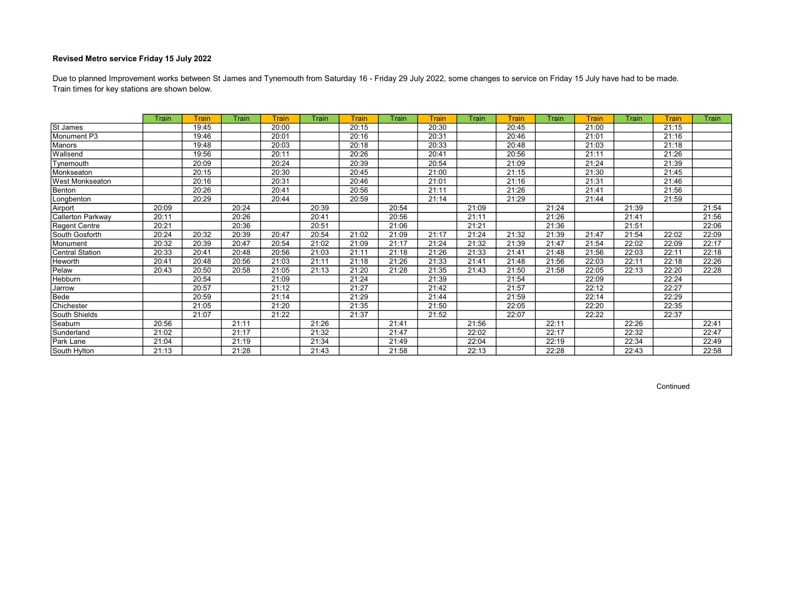Train times for key stations are shown below. Due to planned Improvement works between St James and Tynemouth from Saturday 16 - Friday 29 July 2022, some changes to service on Friday 15 July have had to be made.

|                        | Train | Train | Train | <b>Train</b> | Train | Train | Train | Train | Train | Train | Train | Train | Train | Train | Train |
|------------------------|-------|-------|-------|--------------|-------|-------|-------|-------|-------|-------|-------|-------|-------|-------|-------|
| St James               |       | 19:45 |       | 20:00        |       | 20:15 |       | 20:30 |       | 20:45 |       | 21:00 |       | 21:15 |       |
| Monument P3            |       | 19:46 |       | 20:01        |       | 20:16 |       | 20:31 |       | 20:46 |       | 21:01 |       | 21:16 |       |
| Manors                 |       | 19:48 |       | 20:03        |       | 20:18 |       | 20:33 |       | 20:48 |       | 21:03 |       | 21:18 |       |
| Wallsend               |       | 19:56 |       | 20:11        |       | 20:26 |       | 20:41 |       | 20:56 |       | 21:11 |       | 21:26 |       |
| Tynemouth              |       | 20:09 |       | 20:24        |       | 20:39 |       | 20:54 |       | 21:09 |       | 21:24 |       | 21:39 |       |
| Monkseaton             |       | 20:15 |       | 20:30        |       | 20:45 |       | 21:00 |       | 21:15 |       | 21:30 |       | 21:45 |       |
| <b>West Monkseaton</b> |       | 20:16 |       | 20:31        |       | 20:46 |       | 21:01 |       | 21:16 |       | 21:31 |       | 21:46 |       |
| Benton                 |       | 20:26 |       | 20:41        |       | 20:56 |       | 21:11 |       | 21:26 |       | 21:41 |       | 21:56 |       |
| Longbenton             |       | 20:29 |       | 20:44        |       | 20:59 |       | 21:14 |       | 21:29 |       | 21:44 |       | 21:59 |       |
| Airport                | 20:09 |       | 20:24 |              | 20:39 |       | 20:54 |       | 21:09 |       | 21:24 |       | 21:39 |       | 21:54 |
| Callerton Parkway      | 20:11 |       | 20:26 |              | 20:41 |       | 20:56 |       | 21:11 |       | 21:26 |       | 21:41 |       | 21:56 |
| Regent Centre          | 20:21 |       | 20:36 |              | 20:51 |       | 21:06 |       | 21:21 |       | 21:36 |       | 21:51 |       | 22:06 |
| South Gosforth         | 20:24 | 20:32 | 20:39 | 20:47        | 20:54 | 21:02 | 21:09 | 21:17 | 21:24 | 21:32 | 21:39 | 21:47 | 21:54 | 22:02 | 22:09 |
| Monument               | 20:32 | 20:39 | 20:47 | 20:54        | 21:02 | 21:09 | 21:17 | 21:24 | 21:32 | 21:39 | 21:47 | 21:54 | 22:02 | 22:09 | 22:17 |
| <b>Central Station</b> | 20:33 | 20:41 | 20:48 | 20:56        | 21:03 | 21:11 | 21:18 | 21:26 | 21:33 | 21:41 | 21:48 | 21:56 | 22:03 | 22:11 | 22:18 |
| Heworth                | 20:41 | 20:48 | 20:56 | 21:03        | 21:11 | 21:18 | 21:26 | 21:33 | 21:41 | 21:48 | 21:56 | 22:03 | 22:11 | 22:18 | 22:26 |
| Pelaw                  | 20:43 | 20:50 | 20:58 | 21:05        | 21:13 | 21:20 | 21:28 | 21:35 | 21:43 | 21:50 | 21:58 | 22:05 | 22:13 | 22:20 | 22:28 |
| Hebburn                |       | 20:54 |       | 21:09        |       | 21:24 |       | 21:39 |       | 21:54 |       | 22:09 |       | 22:24 |       |
| Jarrow                 |       | 20:57 |       | 21:12        |       | 21:27 |       | 21:42 |       | 21:57 |       | 22:12 |       | 22:27 |       |
| Bede                   |       | 20:59 |       | 21:14        |       | 21:29 |       | 21:44 |       | 21:59 |       | 22:14 |       | 22:29 |       |
| Chichester             |       | 21:05 |       | 21:20        |       | 21:35 |       | 21:50 |       | 22:05 |       | 22:20 |       | 22:35 |       |
| South Shields          |       | 21:07 |       | 21:22        |       | 21:37 |       | 21:52 |       | 22:07 |       | 22:22 |       | 22:37 |       |
| Seaburn                | 20:56 |       | 21:11 |              | 21:26 |       | 21:41 |       | 21:56 |       | 22:11 |       | 22:26 |       | 22:41 |
| Sunderland             | 21:02 |       | 21:17 |              | 21:32 |       | 21:47 |       | 22:02 |       | 22:17 |       | 22:32 |       | 22:47 |
| Park Lane              | 21:04 |       | 21:19 |              | 21:34 |       | 21:49 |       | 22:04 |       | 22:19 |       | 22:34 |       | 22:49 |
| South Hylton           | 21:13 |       | 21:28 |              | 21:43 |       | 21:58 |       | 22:13 |       | 22:28 |       | 22:43 |       | 22:58 |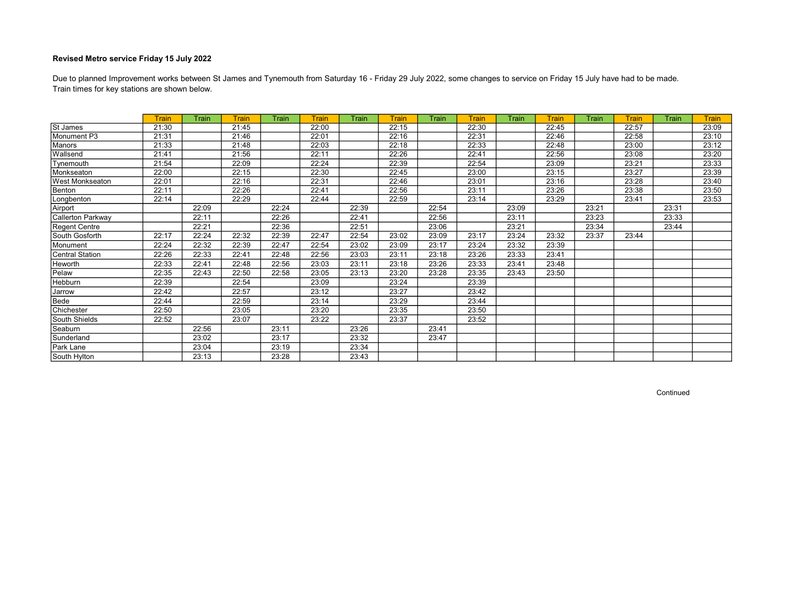Train times for key stations are shown below. Due to planned Improvement works between St James and Tynemouth from Saturday 16 - Friday 29 July 2022, some changes to service on Friday 15 July have had to be made.

|                        | <b>Train</b> | Train | <b>Train</b> | <b>Train</b> | <b>Train</b> | Train | <b>Train</b> | Train | <b>Train</b> | <b>Train</b> | Train | Train | Train | Train | <b>Train</b> |
|------------------------|--------------|-------|--------------|--------------|--------------|-------|--------------|-------|--------------|--------------|-------|-------|-------|-------|--------------|
| St James               | 21:30        |       | 21:45        |              | 22:00        |       | 22:15        |       | 22:30        |              | 22:45 |       | 22:57 |       | 23:09        |
| Monument P3            | 21:31        |       | 21:46        |              | 22:01        |       | 22:16        |       | 22:31        |              | 22:46 |       | 22:58 |       | 23:10        |
| <b>Manors</b>          | 21:33        |       | 21:48        |              | 22:03        |       | 22:18        |       | 22:33        |              | 22:48 |       | 23:00 |       | 23:12        |
| Wallsend               | 21:41        |       | 21:56        |              | 22:11        |       | 22:26        |       | 22:41        |              | 22:56 |       | 23:08 |       | 23:20        |
| Tynemouth              | 21:54        |       | 22:09        |              | 22:24        |       | 22:39        |       | 22:54        |              | 23:09 |       | 23:21 |       | 23:33        |
| Monkseaton             | 22:00        |       | 22:15        |              | 22:30        |       | 22:45        |       | 23:00        |              | 23:15 |       | 23:27 |       | 23:39        |
| <b>West Monkseaton</b> | 22:01        |       | 22:16        |              | 22:31        |       | 22:46        |       | 23:01        |              | 23:16 |       | 23:28 |       | 23:40        |
| Benton                 | 22:11        |       | 22:26        |              | 22:41        |       | 22:56        |       | 23:11        |              | 23:26 |       | 23:38 |       | 23:50        |
| Longbenton             | 22:14        |       | 22:29        |              | 22:44        |       | 22:59        |       | 23:14        |              | 23:29 |       | 23:41 |       | 23:53        |
| Airport                |              | 22:09 |              | 22:24        |              | 22:39 |              | 22:54 |              | 23:09        |       | 23:21 |       | 23:31 |              |
| Callerton Parkway      |              | 22:11 |              | 22:26        |              | 22:41 |              | 22:56 |              | 23:11        |       | 23:23 |       | 23:33 |              |
| Regent Centre          |              | 22:21 |              | 22:36        |              | 22:51 |              | 23:06 |              | 23:21        |       | 23:34 |       | 23:44 |              |
| South Gosforth         | 22:17        | 22:24 | 22:32        | 22:39        | 22:47        | 22:54 | 23:02        | 23:09 | 23:17        | 23:24        | 23:32 | 23:37 | 23:44 |       |              |
| Monument               | 22:24        | 22:32 | 22:39        | 22:47        | 22:54        | 23:02 | 23:09        | 23:17 | 23:24        | 23:32        | 23:39 |       |       |       |              |
| <b>Central Station</b> | 22:26        | 22:33 | 22:41        | 22:48        | 22:56        | 23:03 | 23:11        | 23:18 | 23:26        | 23:33        | 23:41 |       |       |       |              |
| Heworth                | 22:33        | 22:41 | 22:48        | 22:56        | 23:03        | 23:11 | 23:18        | 23:26 | 23:33        | 23:41        | 23:48 |       |       |       |              |
| Pelaw                  | 22:35        | 22:43 | 22:50        | 22:58        | 23:05        | 23:13 | 23:20        | 23:28 | 23:35        | 23:43        | 23:50 |       |       |       |              |
| Hebburn                | 22:39        |       | 22:54        |              | 23:09        |       | 23:24        |       | 23:39        |              |       |       |       |       |              |
| Jarrow                 | 22:42        |       | 22:57        |              | 23:12        |       | 23:27        |       | 23:42        |              |       |       |       |       |              |
| Bede                   | 22:44        |       | 22:59        |              | 23:14        |       | 23:29        |       | 23:44        |              |       |       |       |       |              |
| Chichester             | 22:50        |       | 23:05        |              | 23:20        |       | 23:35        |       | 23:50        |              |       |       |       |       |              |
| South Shields          | 22:52        |       | 23:07        |              | 23:22        |       | 23:37        |       | 23:52        |              |       |       |       |       |              |
| Seaburn                |              | 22:56 |              | 23:11        |              | 23:26 |              | 23:41 |              |              |       |       |       |       |              |
| Sunderland             |              | 23:02 |              | 23:17        |              | 23:32 |              | 23:47 |              |              |       |       |       |       |              |
| Park Lane              |              | 23:04 |              | 23:19        |              | 23:34 |              |       |              |              |       |       |       |       |              |
| South Hylton           |              | 23:13 |              | 23:28        |              | 23:43 |              |       |              |              |       |       |       |       |              |